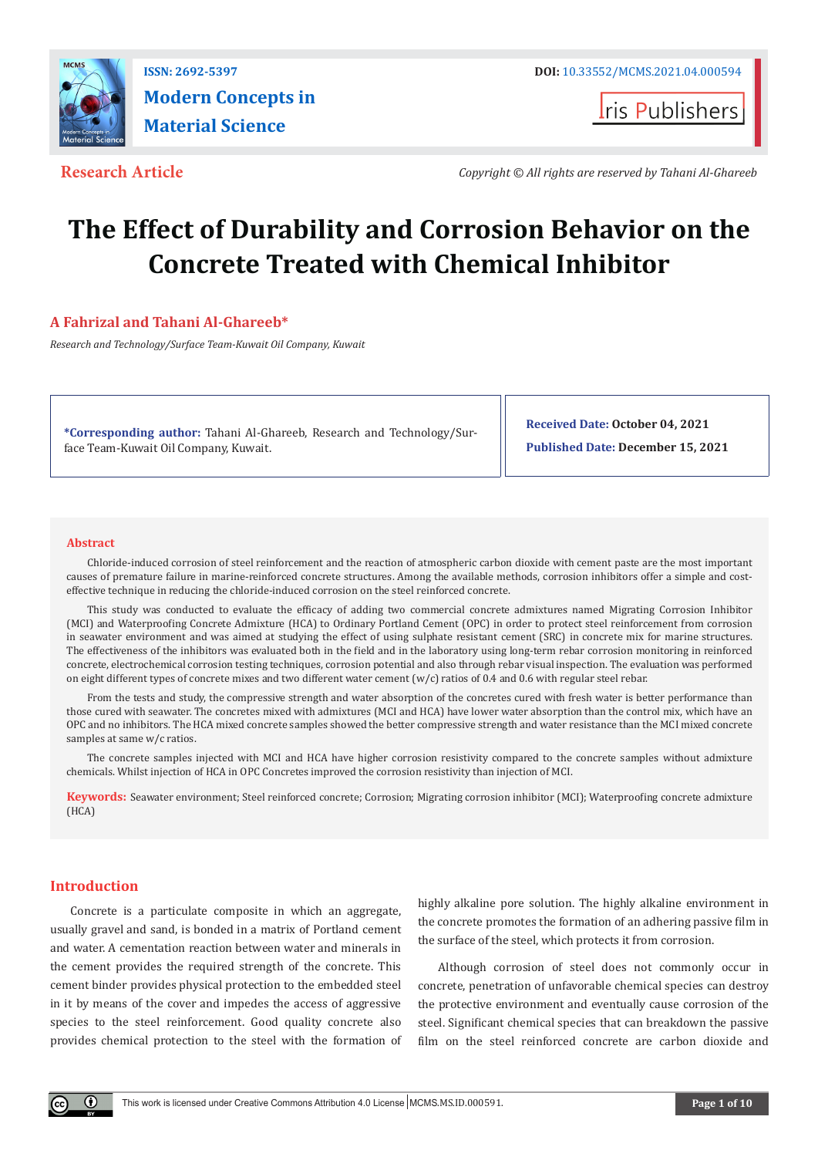

**I**ris Publishers

**Research Article** *Copyright © All rights are reserved by Tahani Al-Ghareeb*

# **The Effect of Durability and Corrosion Behavior on the Concrete Treated with Chemical Inhibitor**

# **A Fahrizal and Tahani Al-Ghareeb\***

*Research and Technology/Surface Team-Kuwait Oil Company, Kuwait*

**\*Corresponding author:** Tahani Al-Ghareeb, Research and Technology/Surface Team-Kuwait Oil Company, Kuwait.

**Received Date: October 04, 2021 Published Date: December 15, 2021**

#### **Abstract**

Chloride-induced corrosion of steel reinforcement and the reaction of atmospheric carbon dioxide with cement paste are the most important causes of premature failure in marine-reinforced concrete structures. Among the available methods, corrosion inhibitors offer a simple and costeffective technique in reducing the chloride-induced corrosion on the steel reinforced concrete.

This study was conducted to evaluate the efficacy of adding two commercial concrete admixtures named Migrating Corrosion Inhibitor (MCI) and Waterproofing Concrete Admixture (HCA) to Ordinary Portland Cement (OPC) in order to protect steel reinforcement from corrosion in seawater environment and was aimed at studying the effect of using sulphate resistant cement (SRC) in concrete mix for marine structures. The effectiveness of the inhibitors was evaluated both in the field and in the laboratory using long-term rebar corrosion monitoring in reinforced concrete, electrochemical corrosion testing techniques, corrosion potential and also through rebar visual inspection. The evaluation was performed on eight different types of concrete mixes and two different water cement  $(w/c)$  ratios of 0.4 and 0.6 with regular steel rebar.

From the tests and study, the compressive strength and water absorption of the concretes cured with fresh water is better performance than those cured with seawater. The concretes mixed with admixtures (MCI and HCA) have lower water absorption than the control mix, which have an OPC and no inhibitors. The HCA mixed concrete samples showed the better compressive strength and water resistance than the MCI mixed concrete samples at same w/c ratios.

The concrete samples injected with MCI and HCA have higher corrosion resistivity compared to the concrete samples without admixture chemicals. Whilst injection of HCA in OPC Concretes improved the corrosion resistivity than injection of MCI.

**Keywords:** Seawater environment; Steel reinforced concrete; Corrosion; Migrating corrosion inhibitor (MCI); Waterproofing concrete admixture (HCA)

#### **Introduction**

 $^{\circ}$ 

Concrete is a particulate composite in which an aggregate, usually gravel and sand, is bonded in a matrix of Portland cement and water. A cementation reaction between water and minerals in the cement provides the required strength of the concrete. This cement binder provides physical protection to the embedded steel in it by means of the cover and impedes the access of aggressive species to the steel reinforcement. Good quality concrete also provides chemical protection to the steel with the formation of highly alkaline pore solution. The highly alkaline environment in the concrete promotes the formation of an adhering passive film in the surface of the steel, which protects it from corrosion.

Although corrosion of steel does not commonly occur in concrete, penetration of unfavorable chemical species can destroy the protective environment and eventually cause corrosion of the steel. Significant chemical species that can breakdown the passive film on the steel reinforced concrete are carbon dioxide and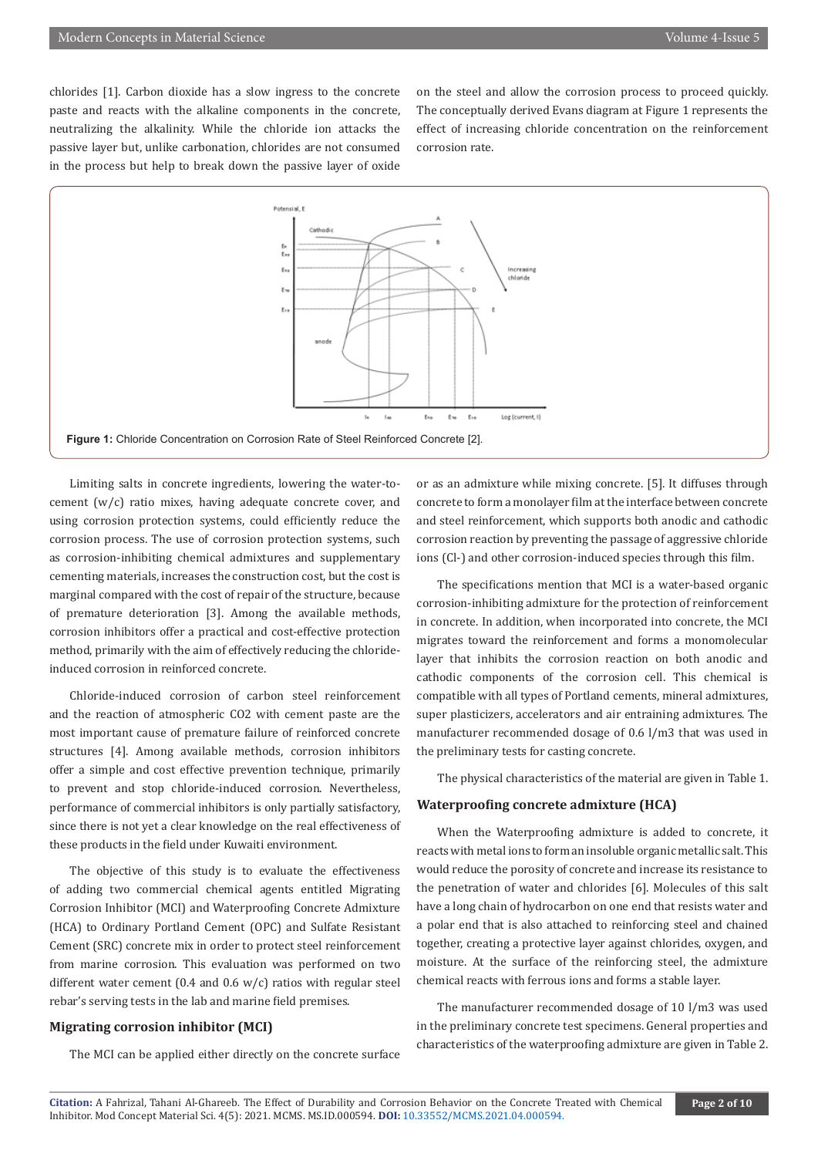chlorides [1]. Carbon dioxide has a slow ingress to the concrete paste and reacts with the alkaline components in the concrete, neutralizing the alkalinity. While the chloride ion attacks the passive layer but, unlike carbonation, chlorides are not consumed in the process but help to break down the passive layer of oxide

on the steel and allow the corrosion process to proceed quickly. The conceptually derived Evans diagram at Figure 1 represents the effect of increasing chloride concentration on the reinforcement corrosion rate.



Limiting salts in concrete ingredients, lowering the water-tocement (w/c) ratio mixes, having adequate concrete cover, and using corrosion protection systems, could efficiently reduce the corrosion process. The use of corrosion protection systems, such as corrosion-inhibiting chemical admixtures and supplementary cementing materials, increases the construction cost, but the cost is marginal compared with the cost of repair of the structure, because of premature deterioration [3]. Among the available methods, corrosion inhibitors offer a practical and cost-effective protection method, primarily with the aim of effectively reducing the chlorideinduced corrosion in reinforced concrete.

Chloride-induced corrosion of carbon steel reinforcement and the reaction of atmospheric CO2 with cement paste are the most important cause of premature failure of reinforced concrete structures [4]. Among available methods, corrosion inhibitors offer a simple and cost effective prevention technique, primarily to prevent and stop chloride-induced corrosion. Nevertheless, performance of commercial inhibitors is only partially satisfactory, since there is not yet a clear knowledge on the real effectiveness of these products in the field under Kuwaiti environment.

The objective of this study is to evaluate the effectiveness of adding two commercial chemical agents entitled Migrating Corrosion Inhibitor (MCI) and Waterproofing Concrete Admixture (HCA) to Ordinary Portland Cement (OPC) and Sulfate Resistant Cement (SRC) concrete mix in order to protect steel reinforcement from marine corrosion. This evaluation was performed on two different water cement (0.4 and 0.6 w/c) ratios with regular steel rebar's serving tests in the lab and marine field premises.

#### **Migrating corrosion inhibitor (MCI)**

The MCI can be applied either directly on the concrete surface

or as an admixture while mixing concrete. [5]. It diffuses through concrete to form a monolayer film at the interface between concrete and steel reinforcement, which supports both anodic and cathodic corrosion reaction by preventing the passage of aggressive chloride ions (Cl-) and other corrosion-induced species through this film.

The specifications mention that MCI is a water-based organic corrosion-inhibiting admixture for the protection of reinforcement in concrete. In addition, when incorporated into concrete, the MCI migrates toward the reinforcement and forms a monomolecular layer that inhibits the corrosion reaction on both anodic and cathodic components of the corrosion cell. This chemical is compatible with all types of Portland cements, mineral admixtures, super plasticizers, accelerators and air entraining admixtures. The manufacturer recommended dosage of 0.6 l/m3 that was used in the preliminary tests for casting concrete.

The physical characteristics of the material are given in Table 1.

#### **Waterproofing concrete admixture (HCA)**

When the Waterproofing admixture is added to concrete, it reacts with metal ions to form an insoluble organic metallic salt. This would reduce the porosity of concrete and increase its resistance to the penetration of water and chlorides [6]. Molecules of this salt have a long chain of hydrocarbon on one end that resists water and a polar end that is also attached to reinforcing steel and chained together, creating a protective layer against chlorides, oxygen, and moisture. At the surface of the reinforcing steel, the admixture chemical reacts with ferrous ions and forms a stable layer.

The manufacturer recommended dosage of 10 l/m3 was used in the preliminary concrete test specimens. General properties and characteristics of the waterproofing admixture are given in Table 2.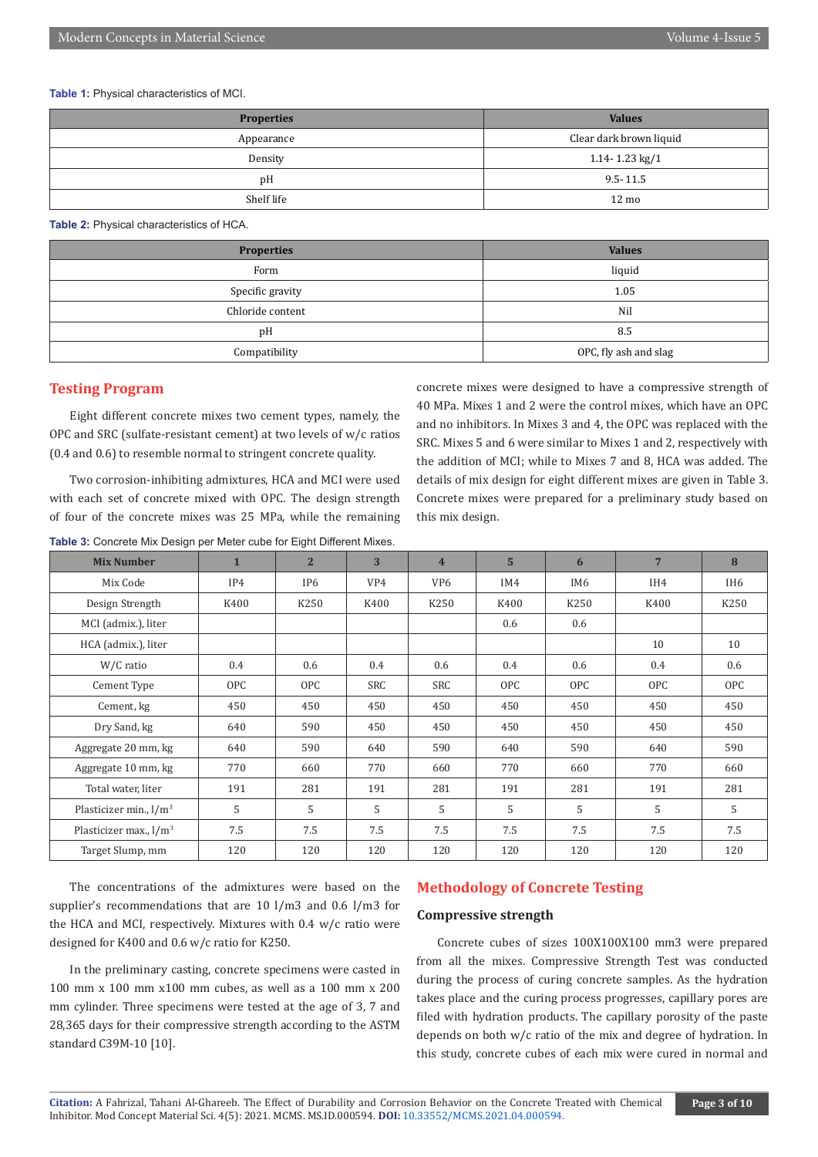## **Table 1:** Physical characteristics of MCI.

| <b>Properties</b> | <b>Values</b>           |  |  |
|-------------------|-------------------------|--|--|
| Appearance        | Clear dark brown liquid |  |  |
| Density           | 1.14-1.23 kg/1          |  |  |
| pH                | $9.5 - 11.5$            |  |  |
| Shelf life        | $12 \text{ mo}$         |  |  |

**Table 2:** Physical characteristics of HCA.

| <b>Properties</b> | <b>Values</b>         |  |  |  |
|-------------------|-----------------------|--|--|--|
| Form              | liquid                |  |  |  |
| Specific gravity  | 1.05                  |  |  |  |
| Chloride content  | Nil                   |  |  |  |
| pH                | 8.5                   |  |  |  |
| Compatibility     | OPC, fly ash and slag |  |  |  |

# **Testing Program**

Eight different concrete mixes two cement types, namely, the OPC and SRC (sulfate-resistant cement) at two levels of w/c ratios (0.4 and 0.6) to resemble normal to stringent concrete quality.

Two corrosion-inhibiting admixtures, HCA and MCI were used with each set of concrete mixed with OPC. The design strength of four of the concrete mixes was 25 MPa, while the remaining

|  | <b>Table 3: Concrete Mix Design per Meter cube for Eight Different Mixes.</b> |
|--|-------------------------------------------------------------------------------|
|--|-------------------------------------------------------------------------------|

concrete mixes were designed to have a compressive strength of 40 MPa. Mixes 1 and 2 were the control mixes, which have an OPC and no inhibitors. In Mixes 3 and 4, the OPC was replaced with the SRC. Mixes 5 and 6 were similar to Mixes 1 and 2, respectively with the addition of MCI; while to Mixes 7 and 8, HCA was added. The details of mix design for eight different mixes are given in Table 3. Concrete mixes were prepared for a preliminary study based on this mix design.

| <b>Mix Number</b>                  | $\mathbf{1}$ | 2 <sup>1</sup>  | 3    | $\overline{4}$  | 5 <sup>1</sup> | 6               | $7\phantom{.0}$ | 8               |
|------------------------------------|--------------|-----------------|------|-----------------|----------------|-----------------|-----------------|-----------------|
| Mix Code                           | IP4          | IP <sub>6</sub> | VP4  | VP <sub>6</sub> | IM4            | IM <sub>6</sub> | IH4             | IH <sub>6</sub> |
| Design Strength                    | K400         | K250            | K400 | K250            | K400           | K250            | K400            | K250            |
| MCI (admix.), liter                |              |                 |      |                 | 0.6            | 0.6             |                 |                 |
| HCA (admix.), liter                |              |                 |      |                 |                |                 | 10              | 10              |
| W/C ratio                          | 0.4          | 0.6             | 0.4  | 0.6             | 0.4            | 0.6             | $0.4\,$         | 0.6             |
| Cement Type                        | <b>OPC</b>   | <b>OPC</b>      | SRC  | <b>SRC</b>      | <b>OPC</b>     | <b>OPC</b>      | <b>OPC</b>      | <b>OPC</b>      |
| Cement, kg                         | 450          | 450             | 450  | 450             | 450            | 450             | 450             | 450             |
| Dry Sand, kg                       | 640          | 590             | 450  | 450             | 450            | 450             | 450             | 450             |
| Aggregate 20 mm, kg                | 640          | 590             | 640  | 590             | 640            | 590             | 640             | 590             |
| Aggregate 10 mm, kg                | 770          | 660             | 770  | 660             | 770            | 660             | 770             | 660             |
| Total water, liter                 | 191          | 281             | 191  | 281             | 191            | 281             | 191             | 281             |
| Plasticizer min., $1/m^3$          | 5            | 5               | 5    | 5               | 5              | 5               | 5               | 5               |
| Plasticizer max., l/m <sup>3</sup> | 7.5          | 7.5             | 7.5  | 7.5             | 7.5            | 7.5             | 7.5             | 7.5             |
| Target Slump, mm                   | 120          | 120             | 120  | 120             | 120            | 120             | 120             | 120             |

The concentrations of the admixtures were based on the supplier's recommendations that are 10 l/m3 and 0.6 l/m3 for the HCA and MCI, respectively. Mixtures with 0.4 w/c ratio were designed for K400 and 0.6 w/c ratio for K250.

In the preliminary casting, concrete specimens were casted in 100 mm x 100 mm x100 mm cubes, as well as a 100 mm x 200 mm cylinder. Three specimens were tested at the age of 3, 7 and 28,365 days for their compressive strength according to the ASTM standard C39M-10 [10].

# **Methodology of Concrete Testing**

# **Compressive strength**

Concrete cubes of sizes 100X100X100 mm3 were prepared from all the mixes. Compressive Strength Test was conducted during the process of curing concrete samples. As the hydration takes place and the curing process progresses, capillary pores are filed with hydration products. The capillary porosity of the paste depends on both w/c ratio of the mix and degree of hydration. In this study, concrete cubes of each mix were cured in normal and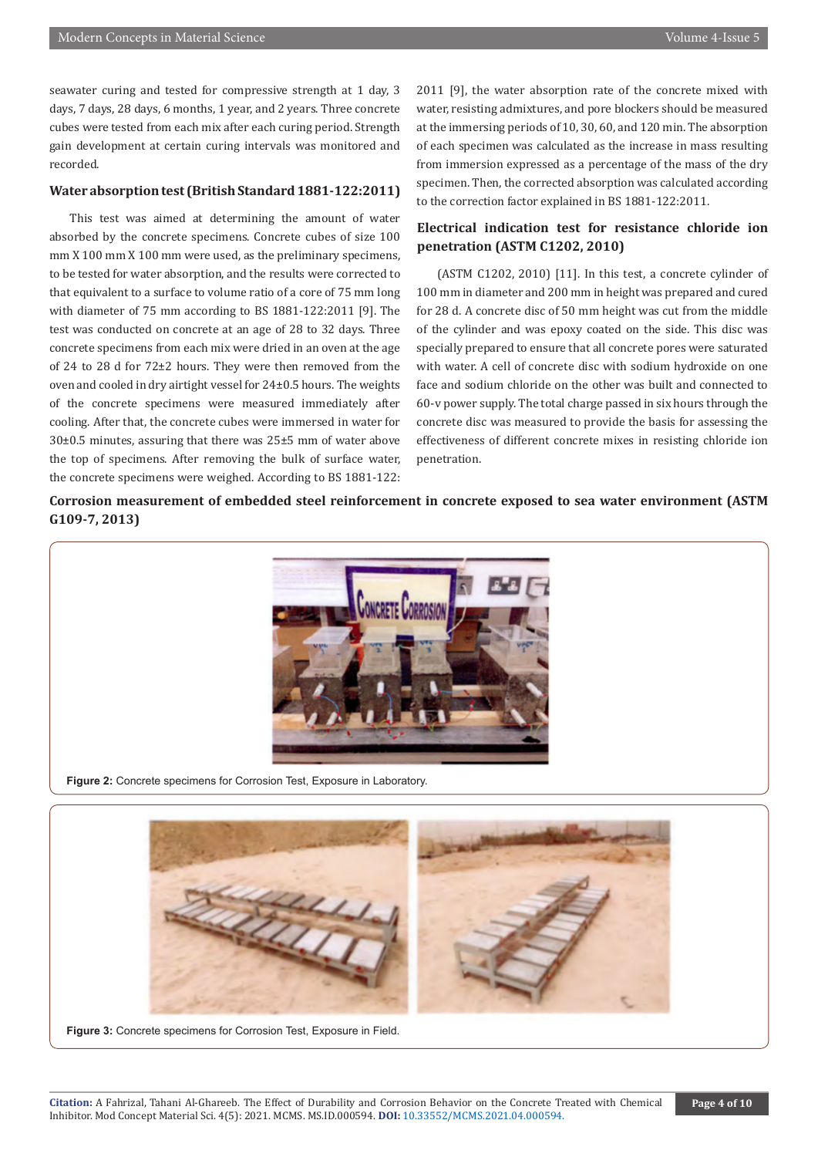seawater curing and tested for compressive strength at 1 day, 3 days, 7 days, 28 days, 6 months, 1 year, and 2 years. Three concrete cubes were tested from each mix after each curing period. Strength gain development at certain curing intervals was monitored and recorded.

### **Water absorption test (British Standard 1881-122:2011)**

This test was aimed at determining the amount of water absorbed by the concrete specimens. Concrete cubes of size 100 mm X 100 mm X 100 mm were used, as the preliminary specimens, to be tested for water absorption, and the results were corrected to that equivalent to a surface to volume ratio of a core of 75 mm long with diameter of 75 mm according to BS 1881-122:2011 [9]. The test was conducted on concrete at an age of 28 to 32 days. Three concrete specimens from each mix were dried in an oven at the age of 24 to 28 d for 72±2 hours. They were then removed from the oven and cooled in dry airtight vessel for 24±0.5 hours. The weights of the concrete specimens were measured immediately after cooling. After that, the concrete cubes were immersed in water for 30±0.5 minutes, assuring that there was 25±5 mm of water above the top of specimens. After removing the bulk of surface water, the concrete specimens were weighed. According to BS 1881-122:

2011 [9], the water absorption rate of the concrete mixed with water, resisting admixtures, and pore blockers should be measured at the immersing periods of 10, 30, 60, and 120 min. The absorption of each specimen was calculated as the increase in mass resulting from immersion expressed as a percentage of the mass of the dry specimen. Then, the corrected absorption was calculated according to the correction factor explained in BS 1881-122:2011.

# **Electrical indication test for resistance chloride ion penetration (ASTM C1202, 2010)**

(ASTM C1202, 2010) [11]. In this test, a concrete cylinder of 100 mm in diameter and 200 mm in height was prepared and cured for 28 d. A concrete disc of 50 mm height was cut from the middle of the cylinder and was epoxy coated on the side. This disc was specially prepared to ensure that all concrete pores were saturated with water. A cell of concrete disc with sodium hydroxide on one face and sodium chloride on the other was built and connected to 60-v power supply. The total charge passed in six hours through the concrete disc was measured to provide the basis for assessing the effectiveness of different concrete mixes in resisting chloride ion penetration.

**Corrosion measurement of embedded steel reinforcement in concrete exposed to sea water environment (ASTM G109-7, 2013)**



**Figure 2:** Concrete specimens for Corrosion Test, Exposure in Laboratory.



**Figure 3:** Concrete specimens for Corrosion Test, Exposure in Field.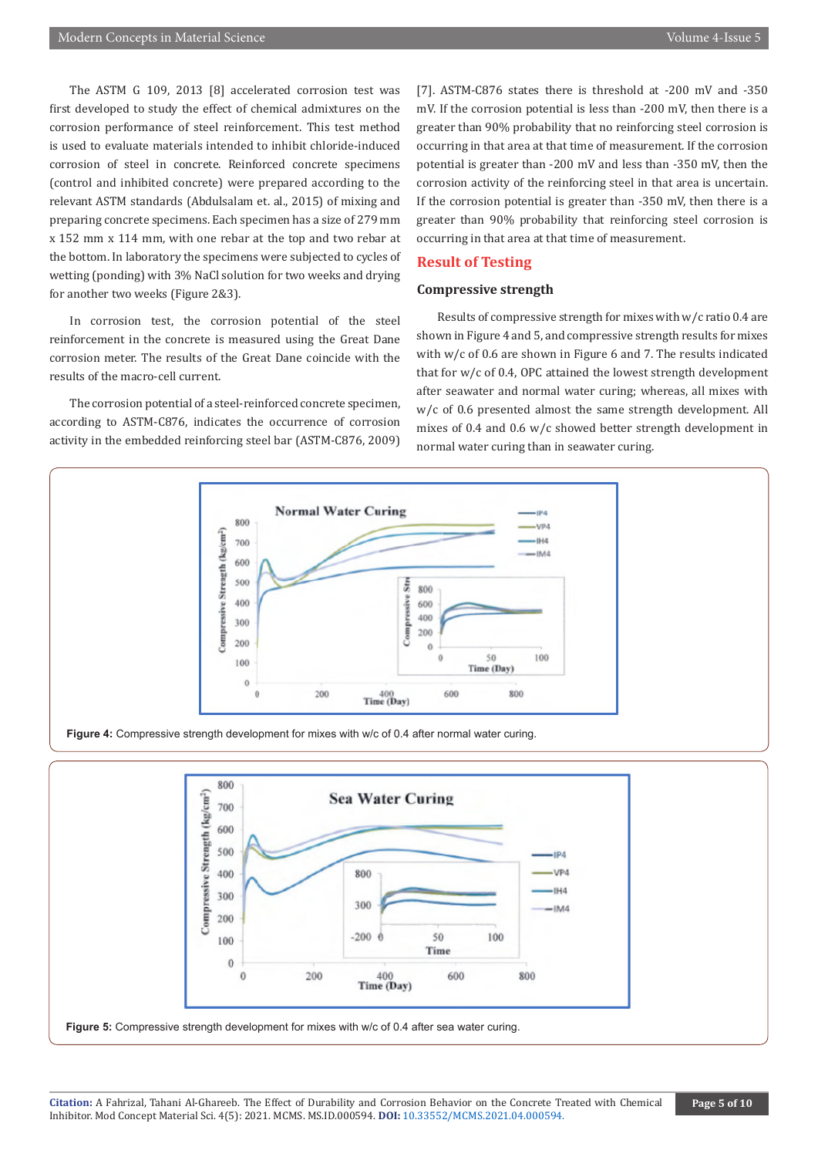The ASTM G 109, 2013 [8] accelerated corrosion test was first developed to study the effect of chemical admixtures on the corrosion performance of steel reinforcement. This test method is used to evaluate materials intended to inhibit chloride-induced corrosion of steel in concrete. Reinforced concrete specimens (control and inhibited concrete) were prepared according to the relevant ASTM standards (Abdulsalam et. al., 2015) of mixing and preparing concrete specimens. Each specimen has a size of 279 mm x 152 mm x 114 mm, with one rebar at the top and two rebar at the bottom. In laboratory the specimens were subjected to cycles of wetting (ponding) with 3% NaCl solution for two weeks and drying for another two weeks (Figure 2&3).

In corrosion test, the corrosion potential of the steel reinforcement in the concrete is measured using the Great Dane corrosion meter. The results of the Great Dane coincide with the results of the macro-cell current.

The corrosion potential of a steel-reinforced concrete specimen, according to ASTM-C876, indicates the occurrence of corrosion activity in the embedded reinforcing steel bar (ASTM-C876, 2009) [7]. ASTM-C876 states there is threshold at -200 mV and -350 mV. If the corrosion potential is less than -200 mV, then there is a greater than 90% probability that no reinforcing steel corrosion is occurring in that area at that time of measurement. If the corrosion potential is greater than -200 mV and less than -350 mV, then the corrosion activity of the reinforcing steel in that area is uncertain. If the corrosion potential is greater than -350 mV, then there is a greater than 90% probability that reinforcing steel corrosion is occurring in that area at that time of measurement.

# **Result of Testing**

# **Compressive strength**

Results of compressive strength for mixes with w/c ratio 0.4 are shown in Figure 4 and 5, and compressive strength results for mixes with w/c of 0.6 are shown in Figure 6 and 7. The results indicated that for w/c of 0.4, OPC attained the lowest strength development after seawater and normal water curing; whereas, all mixes with w/c of 0.6 presented almost the same strength development. All mixes of 0.4 and 0.6 w/c showed better strength development in normal water curing than in seawater curing.



**Figure 4:** Compressive strength development for mixes with w/c of 0.4 after normal water curing.

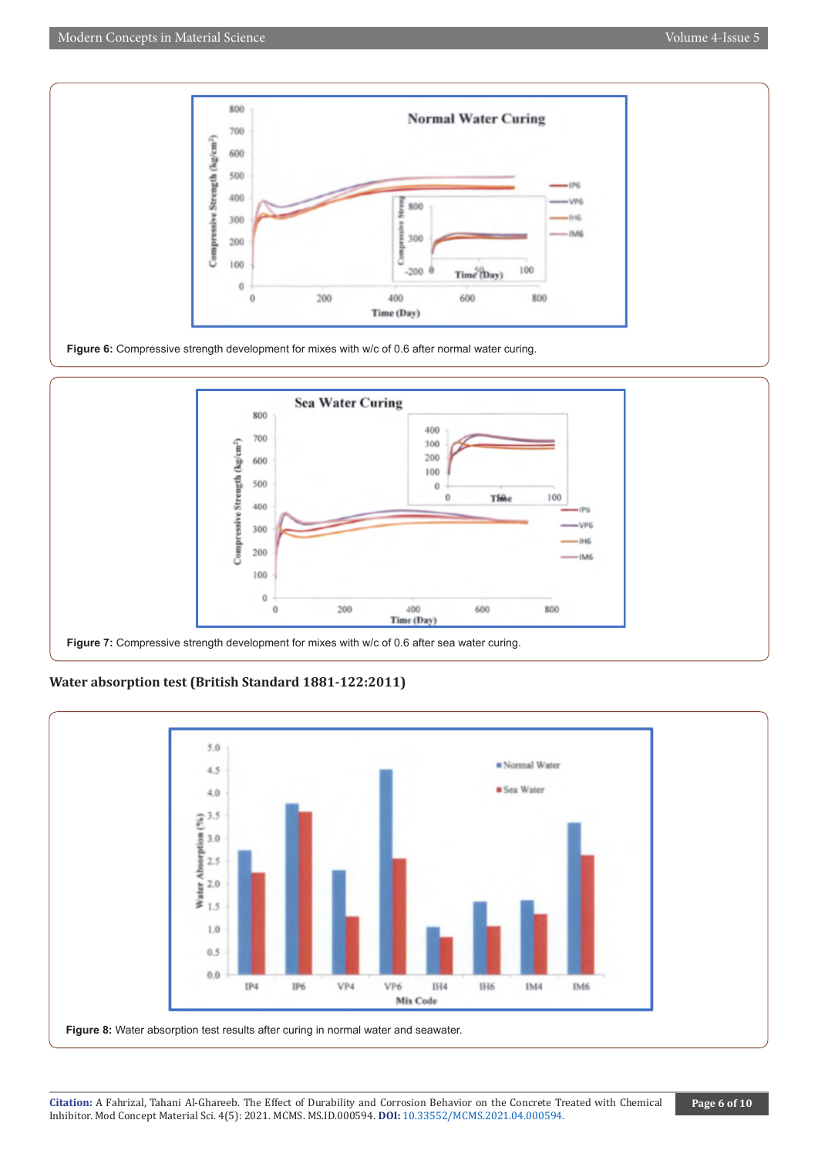





# **Water absorption test (British Standard 1881-122:2011)**

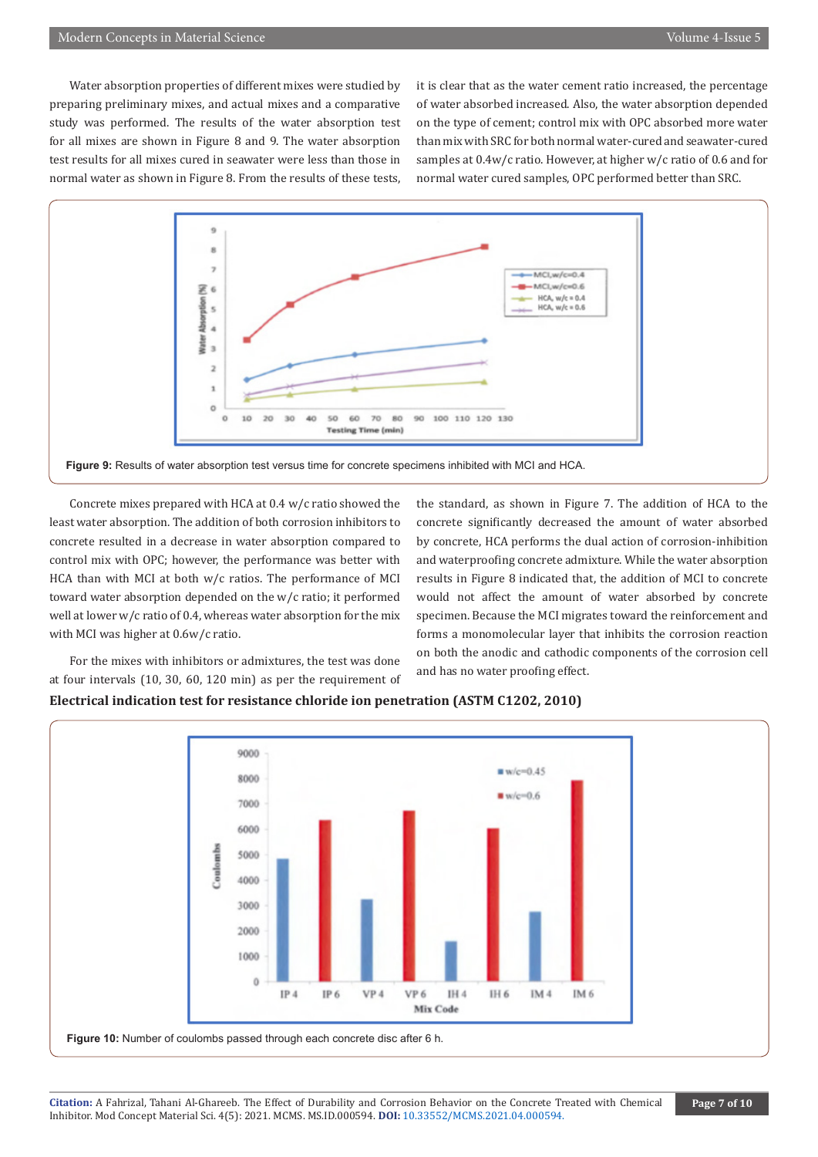Water absorption properties of different mixes were studied by preparing preliminary mixes, and actual mixes and a comparative study was performed. The results of the water absorption test for all mixes are shown in Figure 8 and 9. The water absorption test results for all mixes cured in seawater were less than those in normal water as shown in Figure 8. From the results of these tests,

it is clear that as the water cement ratio increased, the percentage of water absorbed increased. Also, the water absorption depended on the type of cement; control mix with OPC absorbed more water than mix with SRC for both normal water-cured and seawater-cured samples at 0.4w/c ratio. However, at higher w/c ratio of 0.6 and for normal water cured samples, OPC performed better than SRC.



**Figure 9:** Results of water absorption test versus time for concrete specimens inhibited with MCI and HCA.

Concrete mixes prepared with HCA at 0.4 w/c ratio showed the least water absorption. The addition of both corrosion inhibitors to concrete resulted in a decrease in water absorption compared to control mix with OPC; however, the performance was better with HCA than with MCI at both w/c ratios. The performance of MCI toward water absorption depended on the w/c ratio; it performed well at lower w/c ratio of 0.4, whereas water absorption for the mix with MCI was higher at 0.6w/c ratio.

For the mixes with inhibitors or admixtures, the test was done at four intervals (10, 30, 60, 120 min) as per the requirement of the standard, as shown in Figure 7. The addition of HCA to the concrete significantly decreased the amount of water absorbed by concrete, HCA performs the dual action of corrosion-inhibition and waterproofing concrete admixture. While the water absorption results in Figure 8 indicated that, the addition of MCI to concrete would not affect the amount of water absorbed by concrete specimen. Because the MCI migrates toward the reinforcement and forms a monomolecular layer that inhibits the corrosion reaction on both the anodic and cathodic components of the corrosion cell and has no water proofing effect.

# **Electrical indication test for resistance chloride ion penetration (ASTM C1202, 2010)**

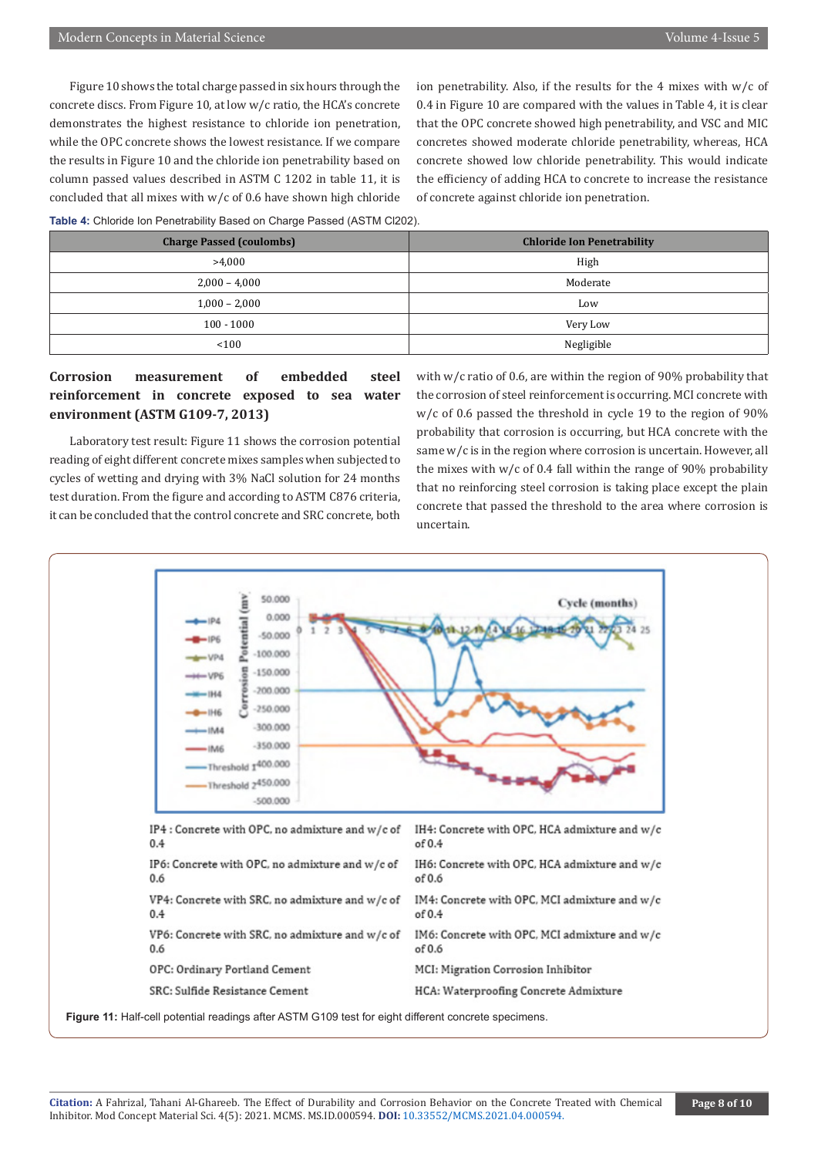Figure 10 shows the total charge passed in six hours through the concrete discs. From Figure 10, at low w/c ratio, the HCA's concrete demonstrates the highest resistance to chloride ion penetration, while the OPC concrete shows the lowest resistance. If we compare the results in Figure 10 and the chloride ion penetrability based on column passed values described in ASTM C 1202 in table 11, it is concluded that all mixes with w/c of 0.6 have shown high chloride ion penetrability. Also, if the results for the 4 mixes with w/c of 0.4 in Figure 10 are compared with the values in Table 4, it is clear that the OPC concrete showed high penetrability, and VSC and MIC concretes showed moderate chloride penetrability, whereas, HCA concrete showed low chloride penetrability. This would indicate the efficiency of adding HCA to concrete to increase the resistance of concrete against chloride ion penetration.

#### **Table 4:** Chloride Ion Penetrability Based on Charge Passed (ASTM Cl202).

| <b>Charge Passed (coulombs)</b> | <b>Chloride Ion Penetrability</b> |  |  |
|---------------------------------|-----------------------------------|--|--|
| >4,000                          | High                              |  |  |
| $2,000 - 4,000$                 | Moderate                          |  |  |
| $1,000 - 2,000$                 | Low                               |  |  |
| $100 - 1000$                    | Very Low                          |  |  |
| 100                             | Negligible                        |  |  |

# **Corrosion measurement of embedded steel reinforcement in concrete exposed to sea water environment (ASTM G109-7, 2013)**

Laboratory test result: Figure 11 shows the corrosion potential reading of eight different concrete mixes samples when subjected to cycles of wetting and drying with 3% NaCl solution for 24 months test duration. From the figure and according to ASTM C876 criteria, it can be concluded that the control concrete and SRC concrete, both with w/c ratio of 0.6, are within the region of 90% probability that the corrosion of steel reinforcement is occurring. MCI concrete with w/c of 0.6 passed the threshold in cycle 19 to the region of 90% probability that corrosion is occurring, but HCA concrete with the same w/c is in the region where corrosion is uncertain. However, all the mixes with  $w/c$  of 0.4 fall within the range of 90% probability that no reinforcing steel corrosion is taking place except the plain concrete that passed the threshold to the area where corrosion is uncertain.



**Figure 11:** Half-cell potential readings after ASTM G109 test for eight different concrete specimens.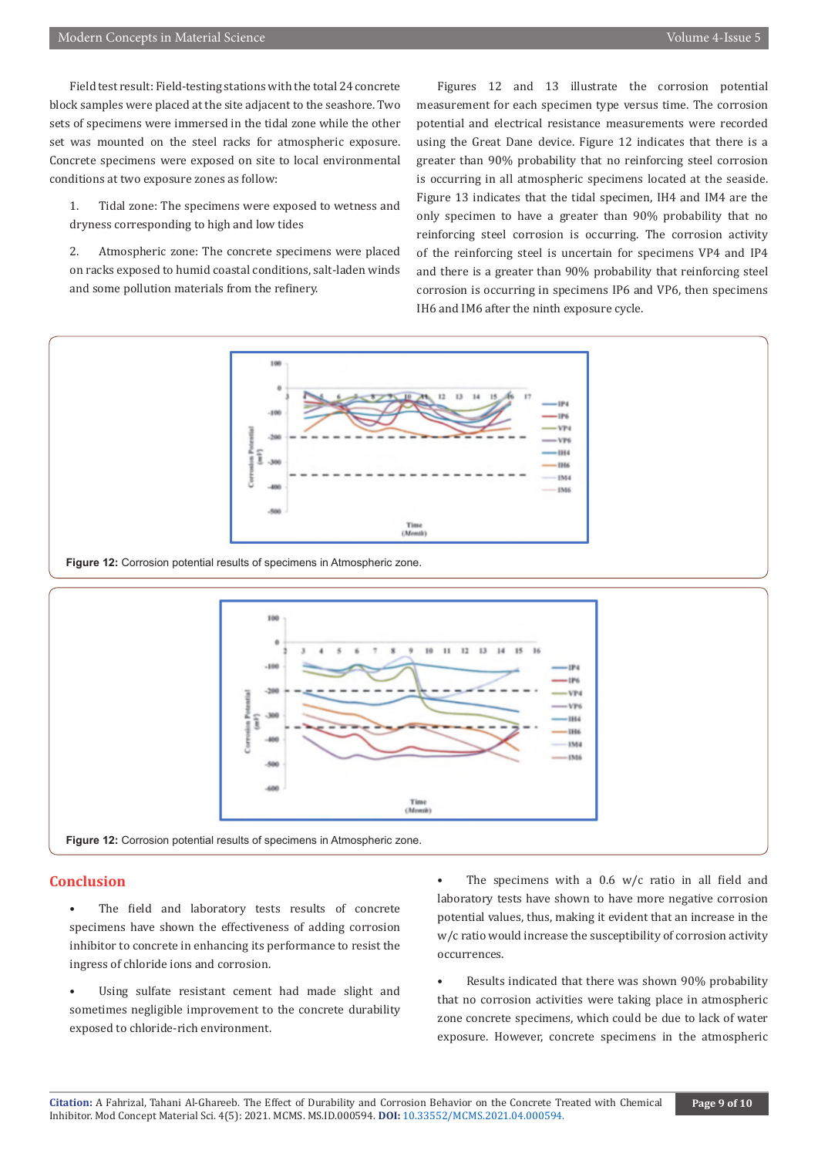Field test result: Field-testing stations with the total 24 concrete block samples were placed at the site adjacent to the seashore. Two sets of specimens were immersed in the tidal zone while the other set was mounted on the steel racks for atmospheric exposure. Concrete specimens were exposed on site to local environmental conditions at two exposure zones as follow:

1. Tidal zone: The specimens were exposed to wetness and dryness corresponding to high and low tides

2. Atmospheric zone: The concrete specimens were placed on racks exposed to humid coastal conditions, salt-laden winds and some pollution materials from the refinery.

Figures 12 and 13 illustrate the corrosion potential measurement for each specimen type versus time. The corrosion potential and electrical resistance measurements were recorded using the Great Dane device. Figure 12 indicates that there is a greater than 90% probability that no reinforcing steel corrosion is occurring in all atmospheric specimens located at the seaside. Figure 13 indicates that the tidal specimen, IH4 and IM4 are the only specimen to have a greater than 90% probability that no reinforcing steel corrosion is occurring. The corrosion activity of the reinforcing steel is uncertain for specimens VP4 and IP4 and there is a greater than 90% probability that reinforcing steel corrosion is occurring in specimens IP6 and VP6, then specimens IH6 and IM6 after the ninth exposure cycle.





# **Conclusion**

- The field and laboratory tests results of concrete specimens have shown the effectiveness of adding corrosion inhibitor to concrete in enhancing its performance to resist the ingress of chloride ions and corrosion.
- Using sulfate resistant cement had made slight and sometimes negligible improvement to the concrete durability exposed to chloride-rich environment.
- The specimens with a  $0.6$  w/c ratio in all field and laboratory tests have shown to have more negative corrosion potential values, thus, making it evident that an increase in the w/c ratio would increase the susceptibility of corrosion activity occurrences.

Results indicated that there was shown 90% probability that no corrosion activities were taking place in atmospheric zone concrete specimens, which could be due to lack of water exposure. However, concrete specimens in the atmospheric